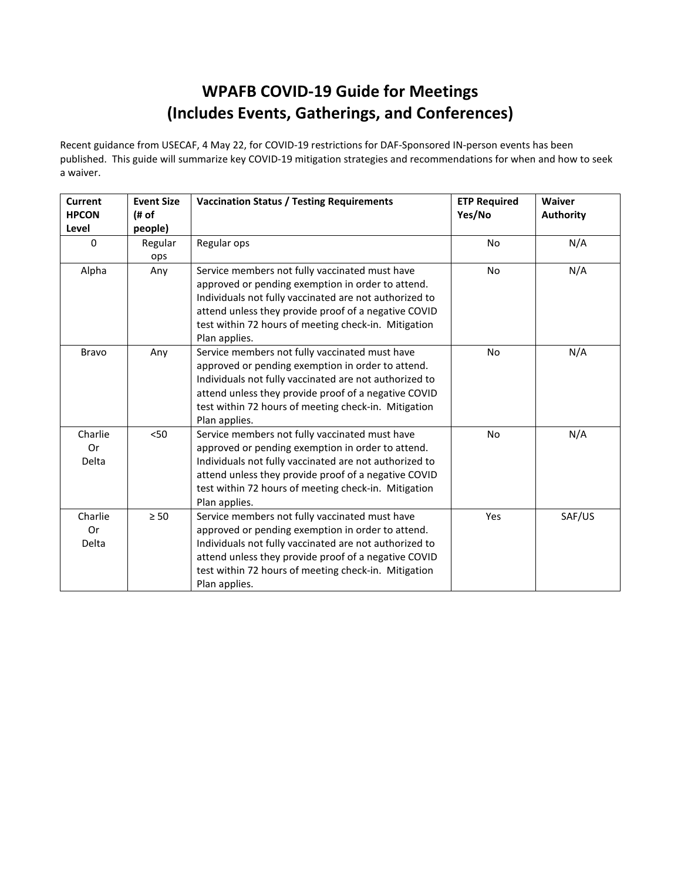# **WPAFB COVID-19 Guide for Meetings (Includes Events, Gatherings, and Conferences)**

Recent guidance from USECAF, 4 May 22, for COVID-19 restrictions for DAF-Sponsored IN-person events has been published. This guide will summarize key COVID-19 mitigation strategies and recommendations for when and how to seek a waiver.

| <b>Current</b><br><b>HPCON</b><br>Level | <b>Event Size</b><br>(# of<br>people) | <b>Vaccination Status / Testing Requirements</b>                                                                                                                                                                                                                                               | <b>ETP Required</b><br>Yes/No | Waiver<br><b>Authority</b> |
|-----------------------------------------|---------------------------------------|------------------------------------------------------------------------------------------------------------------------------------------------------------------------------------------------------------------------------------------------------------------------------------------------|-------------------------------|----------------------------|
| $\Omega$                                | Regular<br>ops                        | Regular ops                                                                                                                                                                                                                                                                                    | <b>No</b>                     | N/A                        |
| Alpha                                   | Any                                   | Service members not fully vaccinated must have<br>approved or pending exemption in order to attend.<br>Individuals not fully vaccinated are not authorized to<br>attend unless they provide proof of a negative COVID<br>test within 72 hours of meeting check-in. Mitigation<br>Plan applies. | <b>No</b>                     | N/A                        |
| <b>Bravo</b>                            | Any                                   | Service members not fully vaccinated must have<br>approved or pending exemption in order to attend.<br>Individuals not fully vaccinated are not authorized to<br>attend unless they provide proof of a negative COVID<br>test within 72 hours of meeting check-in. Mitigation<br>Plan applies. | <b>No</b>                     | N/A                        |
| Charlie<br>0r<br>Delta                  | < 50                                  | Service members not fully vaccinated must have<br>approved or pending exemption in order to attend.<br>Individuals not fully vaccinated are not authorized to<br>attend unless they provide proof of a negative COVID<br>test within 72 hours of meeting check-in. Mitigation<br>Plan applies. | <b>No</b>                     | N/A                        |
| Charlie<br>0r<br><b>Delta</b>           | $\geq 50$                             | Service members not fully vaccinated must have<br>approved or pending exemption in order to attend.<br>Individuals not fully vaccinated are not authorized to<br>attend unless they provide proof of a negative COVID<br>test within 72 hours of meeting check-in. Mitigation<br>Plan applies. | Yes                           | SAF/US                     |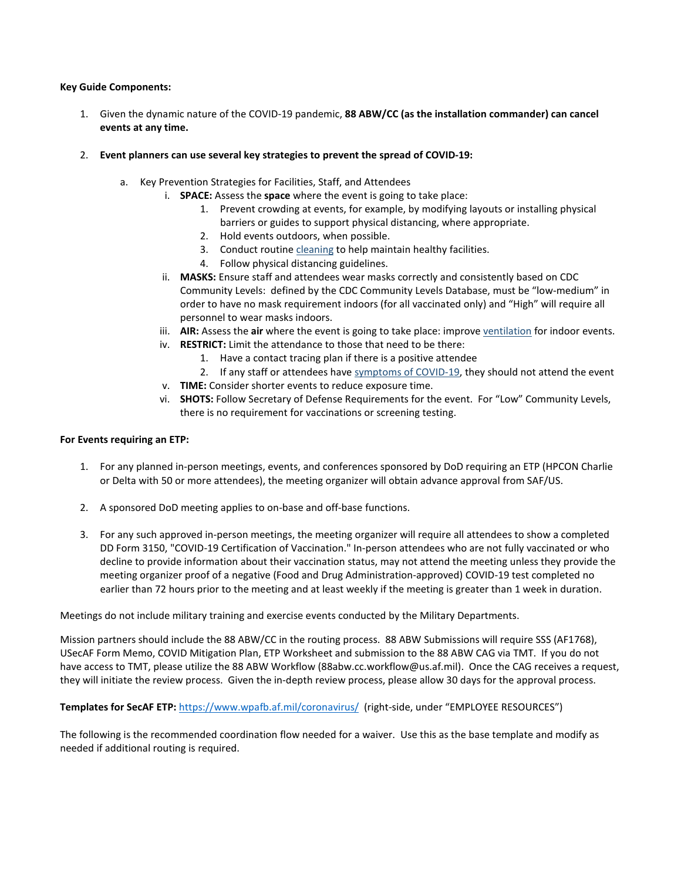### **Key Guide Components:**

- 1. Given the dynamic nature of the COVID-19 pandemic, **88 ABW/CC (as the installation commander) can cancel events at any time.**
- 2. **Event planners can use several key strategies to prevent the spread of COVID-19:**
	- a. Key Prevention Strategies for Facilities, Staff, and Attendees
		- i. **SPACE:** Assess the **space** where the event is going to take place:
			- 1. Prevent crowding at events, for example, by modifying layouts or installing physical barriers or guides to support physical distancing, where appropriate.
			- 2. Hold events outdoors, when possible.
			- 3. Conduct routine [cleaning](https://www.cdc.gov/coronavirus/2019-ncov/community/disinfecting-building-facility.html) to help maintain healthy facilities.
			- 4. Follow physical distancing guidelines.
		- ii. **MASKS:** Ensure staff and attendees wear masks correctly and consistently based on CDC Community Levels: defined by the CDC Community Levels Database, must be "low-medium" in order to have no mask requirement indoors (for all vaccinated only) and "High" will require all personnel to wear masks indoors.
		- iii. **AIR:** Assess the **air** where the event is going to take place: improv[e ventilation](https://www.cdc.gov/coronavirus/2019-ncov/community/ventilation.html) for indoor events.
		- iv. **RESTRICT:** Limit the attendance to those that need to be there:
			- 1. Have a contact tracing plan if there is a positive attendee
			- 2. If any staff or attendees have [symptoms of COVID-19,](https://www.cdc.gov/coronavirus/2019-ncov/symptoms-testing/symptoms.html) they should not attend the event
		- v. **TIME:** Consider shorter events to reduce exposure time.
		- vi. **SHOTS:** Follow Secretary of Defense Requirements for the event. For "Low" Community Levels, there is no requirement for vaccinations or screening testing.

### **For Events requiring an ETP:**

- 1. For any planned in-person meetings, events, and conferences sponsored by DoD requiring an ETP (HPCON Charlie or Delta with 50 or more attendees), the meeting organizer will obtain advance approval from SAF/US.
- 2. A sponsored DoD meeting applies to on-base and off-base functions.
- 3. For any such approved in-person meetings, the meeting organizer will require all attendees to show a completed DD Form 3150, "COVID-19 Certification of Vaccination." In-person attendees who are not fully vaccinated or who decline to provide information about their vaccination status, may not attend the meeting unless they provide the meeting organizer proof of a negative (Food and Drug Administration-approved) COVID-19 test completed no earlier than 72 hours prior to the meeting and at least weekly if the meeting is greater than 1 week in duration.

Meetings do not include military training and exercise events conducted by the Military Departments.

Mission partners should include the 88 ABW/CC in the routing process. 88 ABW Submissions will require SSS (AF1768), USecAF Form Memo, COVID Mitigation Plan, ETP Worksheet and submission to the 88 ABW CAG via TMT. If you do not have access to TMT, please utilize the 88 ABW Workflow (88abw.cc.workflow@us.af.mil). Once the CAG receives a request, they will initiate the review process. Given the in-depth review process, please allow 30 days for the approval process.

### **Templates for SecAF ETP:** <https://www.wpafb.af.mil/coronavirus/>(right-side, under "EMPLOYEE RESOURCES")

The following is the recommended coordination flow needed for a waiver. Use this as the base template and modify as needed if additional routing is required.